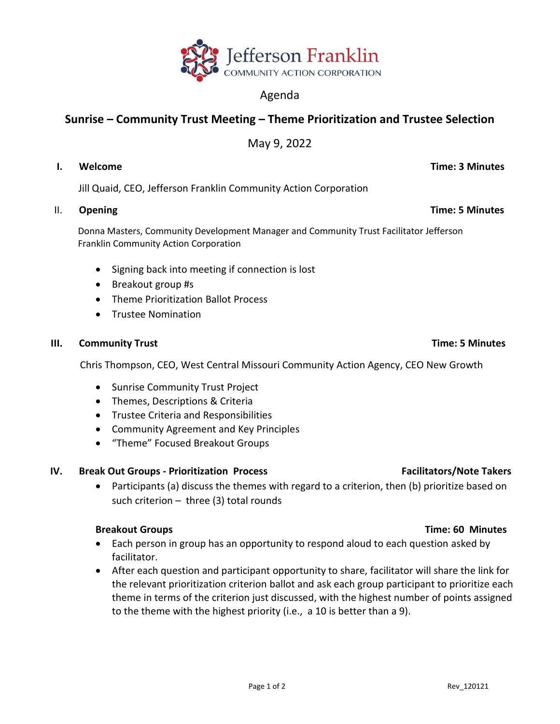

# Agenda

# **Sunrise – Community Trust Meeting – Theme Prioritization and Trustee Selection**

May 9, 2022

### **I. Welcome Time: 3 Minutes**

Jill Quaid, CEO, Jefferson Franklin Community Action Corporation

# II. Opening **Time: 5 Minutes**

 Donna Masters, Community Development Manager and Community Trust Facilitator Jefferson Franklin Community Action Corporation

- Signing back into meeting if connection is lost
- Breakout group #s
- Theme Prioritization Ballot Process
- Trustee Nomination

# **III.** Community Trust **Time: 5 Minutes**

Chris Thompson, CEO, West Central Missouri Community Action Agency, CEO New Growth

- Sunrise Community Trust Project
- Themes, Descriptions & Criteria
- Trustee Criteria and Responsibilities
- Community Agreement and Key Principles
- "Theme" Focused Breakout Groups

# **IV. Break Out Groups - Prioritization Process Facilitators/Note Takers**

• Participants (a) discuss the themes with regard to a criterion, then (b) prioritize based on such criterion – three (3) total rounds

# **Breakout Groups Time: 60 Minutes**

- Each person in group has an opportunity to respond aloud to each question asked by facilitator.
- After each question and participant opportunity to share, facilitator will share the link for the relevant prioritization criterion ballot and ask each group participant to prioritize each theme in terms of the criterion just discussed, with the highest number of points assigned to the theme with the highest priority (i.e., a 10 is better than a 9).